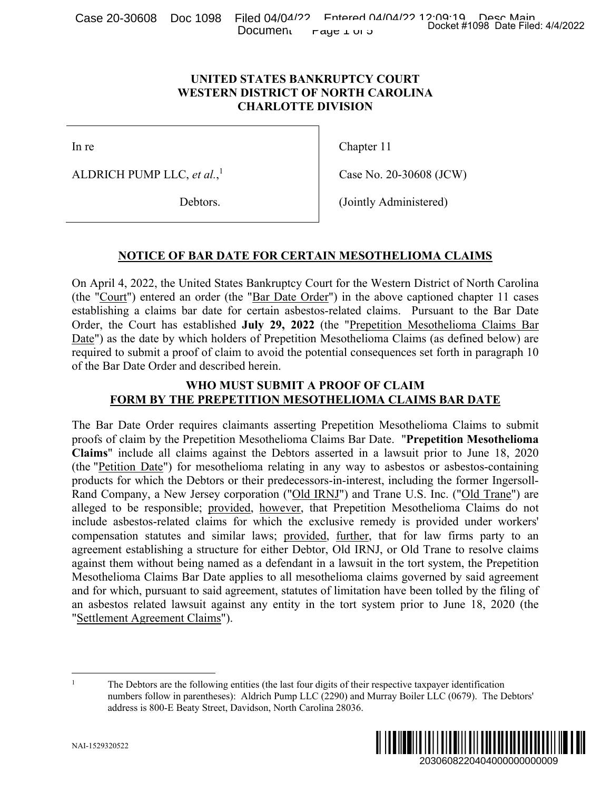Case 20-30608 Doc 1098 Filed 04/04/22<br>Docket #1098 Date Filed: 4/4/2022 Document  $\Gamma$ aye  $\perp$  or  $\infty$ 

# **UNITED STATES BANKRUPTCY COURT WESTERN DISTRICT OF NORTH CAROLINA CHARLOTTE DIVISION**

In re

ALDRICH PUMP LLC, *et al.*, 1

Debtors.

Chapter 11

Case No. 20-30608 (JCW)

(Jointly Administered)

# **NOTICE OF BAR DATE FOR CERTAIN MESOTHELIOMA CLAIMS**

On April 4, 2022, the United States Bankruptcy Court for the Western District of North Carolina (the "Court") entered an order (the "Bar Date Order") in the above captioned chapter 11 cases establishing a claims bar date for certain asbestos-related claims. Pursuant to the Bar Date Order, the Court has established **July 29, 2022** (the "Prepetition Mesothelioma Claims Bar Date") as the date by which holders of Prepetition Mesothelioma Claims (as defined below) are required to submit a proof of claim to avoid the potential consequences set forth in paragraph 10 of the Bar Date Order and described herein.

# **WHO MUST SUBMIT A PROOF OF CLAIM FORM BY THE PREPETITION MESOTHELIOMA CLAIMS BAR DATE**

The Bar Date Order requires claimants asserting Prepetition Mesothelioma Claims to submit proofs of claim by the Prepetition Mesothelioma Claims Bar Date. "**Prepetition Mesothelioma Claims**" include all claims against the Debtors asserted in a lawsuit prior to June 18, 2020 (the "Petition Date") for mesothelioma relating in any way to asbestos or asbestos-containing products for which the Debtors or their predecessors-in-interest, including the former Ingersoll-Rand Company, a New Jersey corporation ("Old IRNJ") and Trane U.S. Inc. ("Old Trane") are alleged to be responsible; provided, however, that Prepetition Mesothelioma Claims do not include asbestos-related claims for which the exclusive remedy is provided under workers' compensation statutes and similar laws; provided, further, that for law firms party to an agreement establishing a structure for either Debtor, Old IRNJ, or Old Trane to resolve claims against them without being named as a defendant in a lawsuit in the tort system, the Prepetition Mesothelioma Claims Bar Date applies to all mesothelioma claims governed by said agreement and for which, pursuant to said agreement, statutes of limitation have been tolled by the filing of an asbestos related lawsuit against any entity in the tort system prior to June 18, 2020 (the "Settlement Agreement Claims"). Docket #1098 Date Filed: 4/4/2022<br>
2030<br>
208 (JCW)<br>
208 (JCW)<br>
208 (JCW)<br>
208 (JCW)<br>
208 Ustrict of North Carolina<br>
2015<br>
2016 Ustrict of North Carolina<br>
2016 Ustrict of North Carolina<br>
2016 Islam Claims Date<br>
2020 Islam

<sup>1</sup> The Debtors are the following entities (the last four digits of their respective taxpayer identification numbers follow in parentheses): Aldrich Pump LLC (2290) and Murray Boiler LLC (0679). The Debtors' address is 800-E Beaty Street, Davidson, North Carolina 28036.

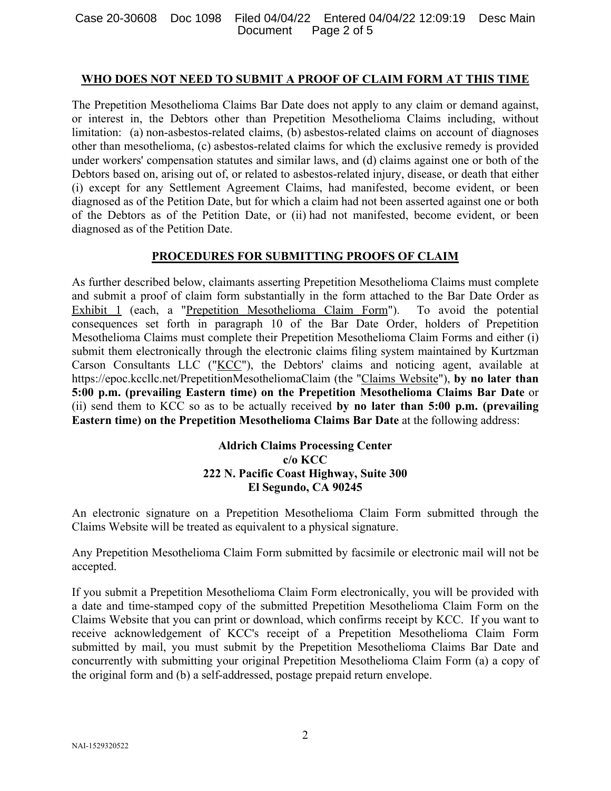## **WHO DOES NOT NEED TO SUBMIT A PROOF OF CLAIM FORM AT THIS TIME**

The Prepetition Mesothelioma Claims Bar Date does not apply to any claim or demand against, or interest in, the Debtors other than Prepetition Mesothelioma Claims including, without limitation: (a) non-asbestos-related claims, (b) asbestos-related claims on account of diagnoses other than mesothelioma, (c) asbestos-related claims for which the exclusive remedy is provided under workers' compensation statutes and similar laws, and (d) claims against one or both of the Debtors based on, arising out of, or related to asbestos-related injury, disease, or death that either (i) except for any Settlement Agreement Claims, had manifested, become evident, or been diagnosed as of the Petition Date, but for which a claim had not been asserted against one or both of the Debtors as of the Petition Date, or (ii) had not manifested, become evident, or been diagnosed as of the Petition Date.

# **PROCEDURES FOR SUBMITTING PROOFS OF CLAIM**

As further described below, claimants asserting Prepetition Mesothelioma Claims must complete and submit a proof of claim form substantially in the form attached to the Bar Date Order as Exhibit 1 (each, a "Prepetition Mesothelioma Claim Form"). To avoid the potential consequences set forth in paragraph 10 of the Bar Date Order, holders of Prepetition Mesothelioma Claims must complete their Prepetition Mesothelioma Claim Forms and either (i) submit them electronically through the electronic claims filing system maintained by Kurtzman Carson Consultants LLC ("KCC"), the Debtors' claims and noticing agent, available at https://epoc.kccllc.net/PrepetitionMesotheliomaClaim (the "Claims Website"), **by no later than 5:00 p.m. (prevailing Eastern time) on the Prepetition Mesothelioma Claims Bar Date** or (ii) send them to KCC so as to be actually received **by no later than 5:00 p.m. (prevailing Eastern time) on the Prepetition Mesothelioma Claims Bar Date** at the following address:

# **Aldrich Claims Processing Center c/o KCC 222 N. Pacific Coast Highway, Suite 300 El Segundo, CA 90245**

An electronic signature on a Prepetition Mesothelioma Claim Form submitted through the Claims Website will be treated as equivalent to a physical signature.

Any Prepetition Mesothelioma Claim Form submitted by facsimile or electronic mail will not be accepted.

If you submit a Prepetition Mesothelioma Claim Form electronically, you will be provided with a date and time-stamped copy of the submitted Prepetition Mesothelioma Claim Form on the Claims Website that you can print or download, which confirms receipt by KCC. If you want to receive acknowledgement of KCC's receipt of a Prepetition Mesothelioma Claim Form submitted by mail, you must submit by the Prepetition Mesothelioma Claims Bar Date and concurrently with submitting your original Prepetition Mesothelioma Claim Form (a) a copy of the original form and (b) a self-addressed, postage prepaid return envelope.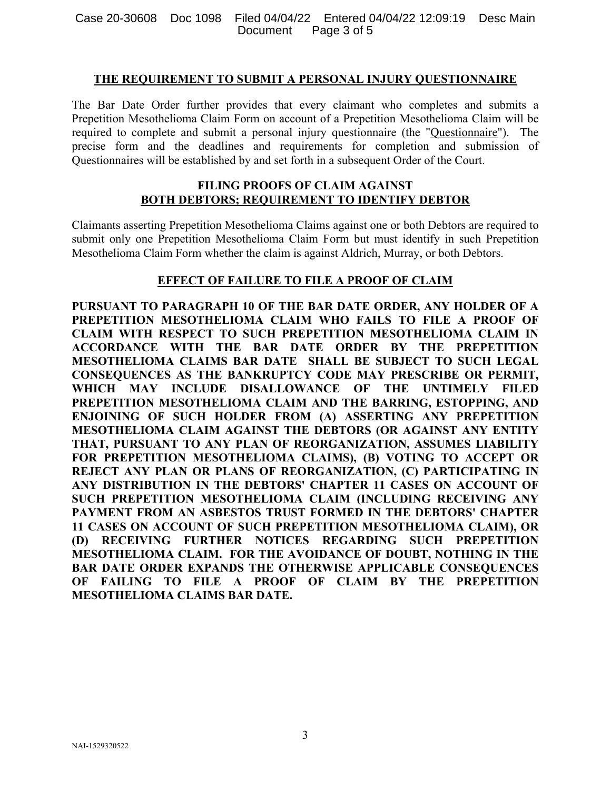## **THE REQUIREMENT TO SUBMIT A PERSONAL INJURY QUESTIONNAIRE**

The Bar Date Order further provides that every claimant who completes and submits a Prepetition Mesothelioma Claim Form on account of a Prepetition Mesothelioma Claim will be required to complete and submit a personal injury questionnaire (the "Questionnaire"). The precise form and the deadlines and requirements for completion and submission of Questionnaires will be established by and set forth in a subsequent Order of the Court.

# **FILING PROOFS OF CLAIM AGAINST BOTH DEBTORS; REQUIREMENT TO IDENTIFY DEBTOR**

Claimants asserting Prepetition Mesothelioma Claims against one or both Debtors are required to submit only one Prepetition Mesothelioma Claim Form but must identify in such Prepetition Mesothelioma Claim Form whether the claim is against Aldrich, Murray, or both Debtors.

## **EFFECT OF FAILURE TO FILE A PROOF OF CLAIM**

**PURSUANT TO PARAGRAPH 10 OF THE BAR DATE ORDER, ANY HOLDER OF A PREPETITION MESOTHELIOMA CLAIM WHO FAILS TO FILE A PROOF OF CLAIM WITH RESPECT TO SUCH PREPETITION MESOTHELIOMA CLAIM IN ACCORDANCE WITH THE BAR DATE ORDER BY THE PREPETITION MESOTHELIOMA CLAIMS BAR DATE SHALL BE SUBJECT TO SUCH LEGAL CONSEQUENCES AS THE BANKRUPTCY CODE MAY PRESCRIBE OR PERMIT, WHICH MAY INCLUDE DISALLOWANCE OF THE UNTIMELY FILED PREPETITION MESOTHELIOMA CLAIM AND THE BARRING, ESTOPPING, AND ENJOINING OF SUCH HOLDER FROM (A) ASSERTING ANY PREPETITION MESOTHELIOMA CLAIM AGAINST THE DEBTORS (OR AGAINST ANY ENTITY THAT, PURSUANT TO ANY PLAN OF REORGANIZATION, ASSUMES LIABILITY FOR PREPETITION MESOTHELIOMA CLAIMS), (B) VOTING TO ACCEPT OR REJECT ANY PLAN OR PLANS OF REORGANIZATION, (C) PARTICIPATING IN ANY DISTRIBUTION IN THE DEBTORS' CHAPTER 11 CASES ON ACCOUNT OF SUCH PREPETITION MESOTHELIOMA CLAIM (INCLUDING RECEIVING ANY PAYMENT FROM AN ASBESTOS TRUST FORMED IN THE DEBTORS' CHAPTER 11 CASES ON ACCOUNT OF SUCH PREPETITION MESOTHELIOMA CLAIM), OR (D) RECEIVING FURTHER NOTICES REGARDING SUCH PREPETITION MESOTHELIOMA CLAIM. FOR THE AVOIDANCE OF DOUBT, NOTHING IN THE BAR DATE ORDER EXPANDS THE OTHERWISE APPLICABLE CONSEQUENCES OF FAILING TO FILE A PROOF OF CLAIM BY THE PREPETITION MESOTHELIOMA CLAIMS BAR DATE.**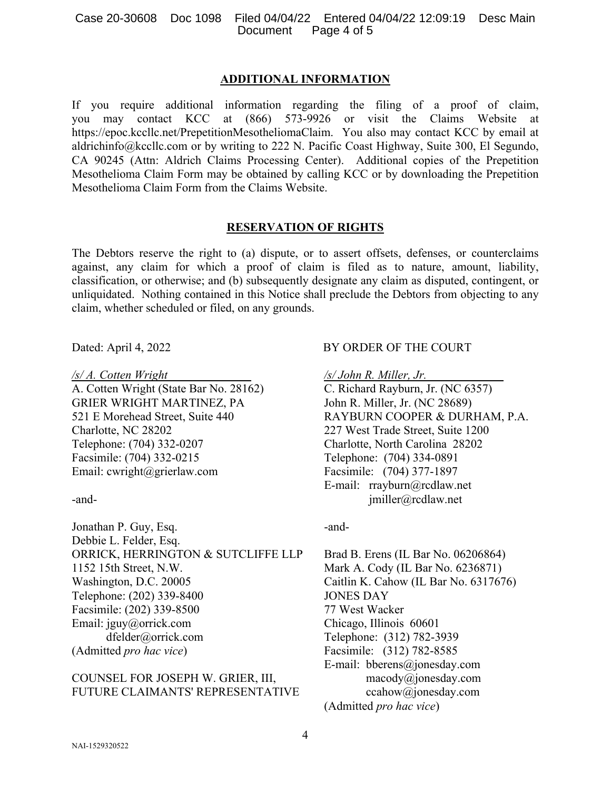#### Case 20-30608 Doc 1098 Filed 04/04/22 Entered 04/04/22 12:09:19 Desc Main Document Page 4 of 5

#### **ADDITIONAL INFORMATION**

If you require additional information regarding the filing of a proof of claim, you may contact KCC at (866) 573-9926 or visit the Claims Website at https://epoc.kccllc.net/PrepetitionMesotheliomaClaim. You also may contact KCC by email at aldrichinfo@kccllc.com or by writing to 222 N. Pacific Coast Highway, Suite 300, El Segundo, CA 90245 (Attn: Aldrich Claims Processing Center). Additional copies of the Prepetition Mesothelioma Claim Form may be obtained by calling KCC or by downloading the Prepetition Mesothelioma Claim Form from the Claims Website.

### **RESERVATION OF RIGHTS**

The Debtors reserve the right to (a) dispute, or to assert offsets, defenses, or counterclaims against, any claim for which a proof of claim is filed as to nature, amount, liability, classification, or otherwise; and (b) subsequently designate any claim as disputed, contingent, or unliquidated. Nothing contained in this Notice shall preclude the Debtors from objecting to any claim, whether scheduled or filed, on any grounds.

*/s/ A. Cotten Wright*  A. Cotten Wright (State Bar No. 28162) GRIER WRIGHT MARTINEZ, PA 521 E Morehead Street, Suite 440 Charlotte, NC 28202 Telephone: (704) 332-0207 Facsimile: (704) 332-0215 Email: cwright@grierlaw.com

-and-

Jonathan P. Guy, Esq. Debbie L. Felder, Esq. ORRICK, HERRINGTON & SUTCLIFFE LLP 1152 15th Street, N.W. Washington, D.C. 20005 Telephone: (202) 339-8400 Facsimile: (202) 339-8500 Email: jguy@orrick.com dfelder@orrick.com (Admitted *pro hac vice*)

## COUNSEL FOR JOSEPH W. GRIER, III, FUTURE CLAIMANTS' REPRESENTATIVE

### Dated: April 4, 2022 BY ORDER OF THE COURT

*/s/ John R. Miller, Jr.*  C. Richard Rayburn, Jr. (NC 6357) John R. Miller, Jr. (NC 28689) RAYBURN COOPER & DURHAM, P.A. 227 West Trade Street, Suite 1200 Charlotte, North Carolina 28202 Telephone: (704) 334-0891 Facsimile: (704) 377-1897 E-mail: rrayburn@rcdlaw.net jmiller@rcdlaw.net

## -and-

Brad B. Erens (IL Bar No. 06206864) Mark A. Cody (IL Bar No. 6236871) Caitlin K. Cahow (IL Bar No. 6317676) JONES DAY 77 West Wacker Chicago, Illinois 60601 Telephone: (312) 782-3939 Facsimile: (312) 782-8585 E-mail: bberens@jonesday.com macody@jonesday.com ccahow@jonesday.com (Admitted *pro hac vice*)